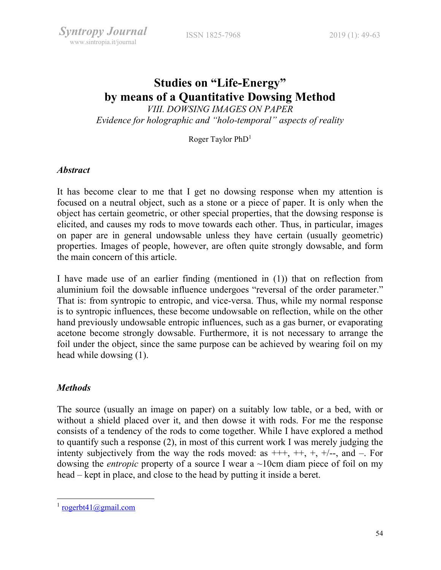# Studies on "Life-Energy" by means of a Quantitative Dowsing Method

VIII. DOWSING IMAGES ON PAPER Evidence for holographic and "holo-temporal" aspects of reality

Roger Taylor PhD<sup>1</sup>

## Abstract

It has become clear to me that I get no dowsing response when my attention is focused on a neutral object, such as a stone or a piece of paper. It is only when the object has certain geometric, or other special properties, that the dowsing response is elicited, and causes my rods to move towards each other. Thus, in particular, images on paper are in general undowsable unless they have certain (usually geometric) properties. Images of people, however, are often quite strongly dowsable, and form the main concern of this article.

I have made use of an earlier finding (mentioned in (1)) that on reflection from aluminium foil the dowsable influence undergoes "reversal of the order parameter." That is: from syntropic to entropic, and vice-versa. Thus, while my normal response is to syntropic influences, these become undowsable on reflection, while on the other hand previously undowsable entropic influences, such as a gas burner, or evaporating acetone become strongly dowsable. Furthermore, it is not necessary to arrange the foil under the object, since the same purpose can be achieved by wearing foil on my head while dowsing (1).

# **Methods**

The source (usually an image on paper) on a suitably low table, or a bed, with or without a shield placed over it, and then dowse it with rods. For me the response consists of a tendency of the rods to come together. While I have explored a method to quantify such a response (2), in most of this current work I was merely judging the intenty subjectively from the way the rods moved: as  $+++$ ,  $+, +$ ,  $+/-$ , and  $-$ . For dowsing the *entropic* property of a source I wear a  $\sim$ 10cm diam piece of foil on my head – kept in place, and close to the head by putting it inside a beret.

 $\frac{1}{1}$  rogerbt41@gmail.com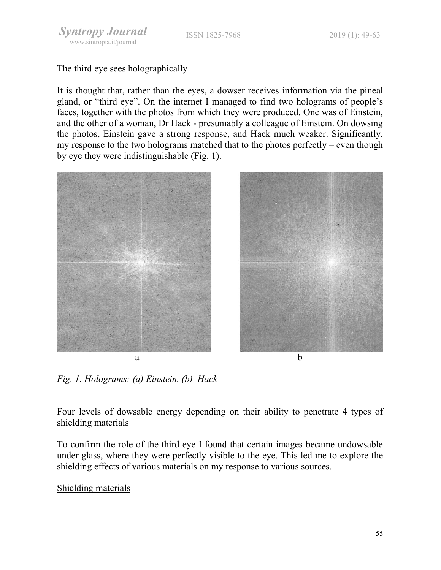ISSN 1825-7968 2019 (1): 49-63

## The third eye sees holographically

It is thought that, rather than the eyes, a dowser receives information via the pineal gland, or "third eye". On the internet I managed to find two holograms of people's faces, together with the photos from which they were produced. One was of Einstein, and the other of a woman, Dr Hack - presumably a colleague of Einstein. On dowsing the photos, Einstein gave a strong response, and Hack much weaker. Significantly, my response to the two holograms matched that to the photos perfectly – even though by eye they were indistinguishable (Fig. 1).





Fig. 1. Holograms: (a) Einstein. (b) Hack

## Four levels of dowsable energy depending on their ability to penetrate 4 types of shielding materials

To confirm the role of the third eye I found that certain images became undowsable under glass, where they were perfectly visible to the eye. This led me to explore the shielding effects of various materials on my response to various sources.

## Shielding materials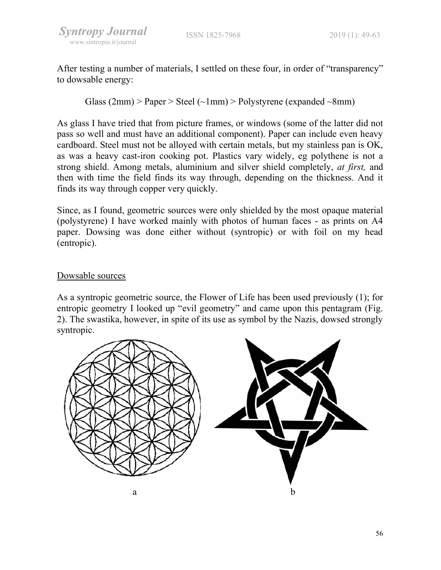After testing a number of materials, I settled on these four, in order of "transparency" to dowsable energy:

Glass  $(2mm)$  > Paper > Steel  $(\sim 1mm)$  > Polystyrene (expanded  $\sim 8mm)$ )

As glass I have tried that from picture frames, or windows (some of the latter did not pass so well and must have an additional component). Paper can include even heavy cardboard. Steel must not be alloyed with certain metals, but my stainless pan is OK, as was a heavy cast-iron cooking pot. Plastics vary widely, eg polythene is not a strong shield. Among metals, aluminium and silver shield completely, at first, and then with time the field finds its way through, depending on the thickness. And it finds its way through copper very quickly.

Since, as I found, geometric sources were only shielded by the most opaque material (polystyrene) I have worked mainly with photos of human faces - as prints on A4 paper. Dowsing was done either without (syntropic) or with foil on my head (entropic).

# Dowsable sources

As a syntropic geometric source, the Flower of Life has been used previously (1); for entropic geometry I looked up "evil geometry" and came upon this pentagram (Fig. 2). The swastika, however, in spite of its use as symbol by the Nazis, dowsed strongly syntropic.

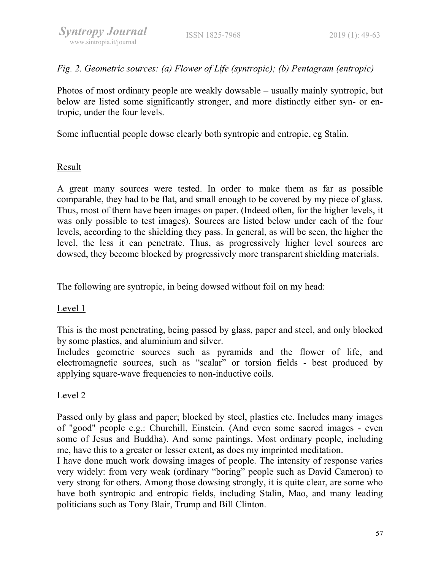Fig. 2. Geometric sources: (a) Flower of Life (syntropic); (b) Pentagram (entropic)

Photos of most ordinary people are weakly dowsable – usually mainly syntropic, but below are listed some significantly stronger, and more distinctly either syn- or entropic, under the four levels.

Some influential people dowse clearly both syntropic and entropic, eg Stalin.

## Result

A great many sources were tested. In order to make them as far as possible comparable, they had to be flat, and small enough to be covered by my piece of glass. Thus, most of them have been images on paper. (Indeed often, for the higher levels, it was only possible to test images). Sources are listed below under each of the four levels, according to the shielding they pass. In general, as will be seen, the higher the level, the less it can penetrate. Thus, as progressively higher level sources are dowsed, they become blocked by progressively more transparent shielding materials.

## The following are syntropic, in being dowsed without foil on my head:

# Level 1

This is the most penetrating, being passed by glass, paper and steel, and only blocked by some plastics, and aluminium and silver.

Includes geometric sources such as pyramids and the flower of life, and electromagnetic sources, such as "scalar" or torsion fields - best produced by applying square-wave frequencies to non-inductive coils.

## Level 2

Passed only by glass and paper; blocked by steel, plastics etc. Includes many images of "good" people e.g.: Churchill, Einstein. (And even some sacred images - even some of Jesus and Buddha). And some paintings. Most ordinary people, including me, have this to a greater or lesser extent, as does my imprinted meditation.

I have done much work dowsing images of people. The intensity of response varies very widely: from very weak (ordinary "boring" people such as David Cameron) to very strong for others. Among those dowsing strongly, it is quite clear, are some who have both syntropic and entropic fields, including Stalin, Mao, and many leading politicians such as Tony Blair, Trump and Bill Clinton.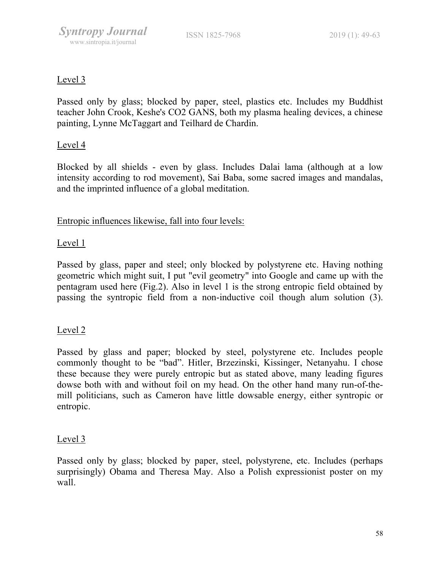## Level 3

Passed only by glass; blocked by paper, steel, plastics etc. Includes my Buddhist teacher John Crook, Keshe's CO2 GANS, both my plasma healing devices, a chinese painting, Lynne McTaggart and Teilhard de Chardin.

## Level 4

Blocked by all shields - even by glass. Includes Dalai lama (although at a low intensity according to rod movement), Sai Baba, some sacred images and mandalas, and the imprinted influence of a global meditation.

## Entropic influences likewise, fall into four levels:

#### Level 1

Passed by glass, paper and steel; only blocked by polystyrene etc. Having nothing geometric which might suit, I put "evil geometry" into Google and came up with the pentagram used here (Fig.2). Also in level 1 is the strong entropic field obtained by passing the syntropic field from a non-inductive coil though alum solution (3).

#### Level 2

Passed by glass and paper; blocked by steel, polystyrene etc. Includes people commonly thought to be "bad". Hitler, Brzezinski, Kissinger, Netanyahu. I chose these because they were purely entropic but as stated above, many leading figures dowse both with and without foil on my head. On the other hand many run-of-themill politicians, such as Cameron have little dowsable energy, either syntropic or entropic.

#### Level 3

Passed only by glass; blocked by paper, steel, polystyrene, etc. Includes (perhaps surprisingly) Obama and Theresa May. Also a Polish expressionist poster on my wall.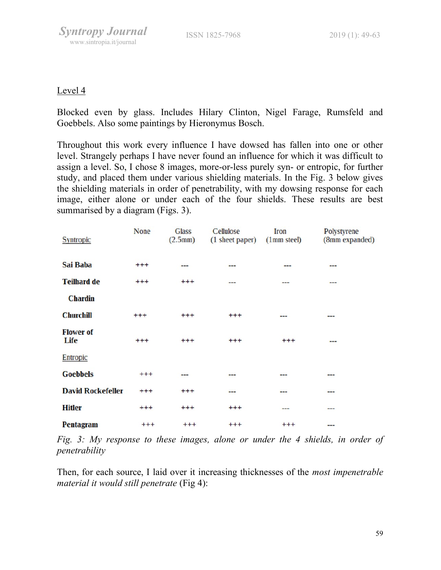## Level 4

Blocked even by glass. Includes Hilary Clinton, Nigel Farage, Rumsfeld and Goebbels. Also some paintings by Hieronymus Bosch.

Throughout this work every influence I have dowsed has fallen into one or other level. Strangely perhaps I have never found an influence for which it was difficult to assign a level. So, I chose 8 images, more-or-less purely syn- or entropic, for further study, and placed them under various shielding materials. In the Fig. 3 below gives the shielding materials in order of penetrability, with my dowsing response for each image, either alone or under each of the four shields. These results are best summarised by a diagram (Figs. 3).

| <b>Syntropic</b>         | <b>None</b> | <b>Glass</b><br>(2.5mm) | Cellulose<br>(1 sheet paper) | Iron<br>(1mm steel) | Polystyrene<br>(8mm expanded) |
|--------------------------|-------------|-------------------------|------------------------------|---------------------|-------------------------------|
| Sai Baba                 | $^{+++}$    | ---                     | ---                          | ---                 | ---                           |
| <b>Teilhard de</b>       | $^{+++}$    | $^{+++}$                | ---                          | ---                 | ---                           |
| <b>Chardin</b>           |             |                         |                              |                     |                               |
| <b>Churchill</b>         | $^{+++}$    | $^{+++}$                | $^{+++}$                     |                     | ---                           |
| <b>Flower of</b><br>Life | $^{+++}$    | $^{+++}$                | $+++$                        | $^{+++}$            | ---                           |
| <b>Entropic</b>          |             |                         |                              |                     |                               |
| <b>Goebbels</b>          | $^{+++}$    | ---                     | $- - -$                      |                     | ---                           |
| <b>David Rockefeller</b> | $^{+++}$    | $^{+++}$                | ---                          | ---                 | ---                           |
| <b>Hitler</b>            | $^{+++}$    | $^{+++}$                | $^{+++}$                     | ---                 | ---                           |
| Pentagram                | $^{+++}$    | $^{+++}$                | $^{+++}$                     | $^{+++}$            | $- - -$                       |

Fig. 3: My response to these images, alone or under the 4 shields, in order of penetrability

Then, for each source, I laid over it increasing thicknesses of the *most impenetrable* material it would still penetrate (Fig 4):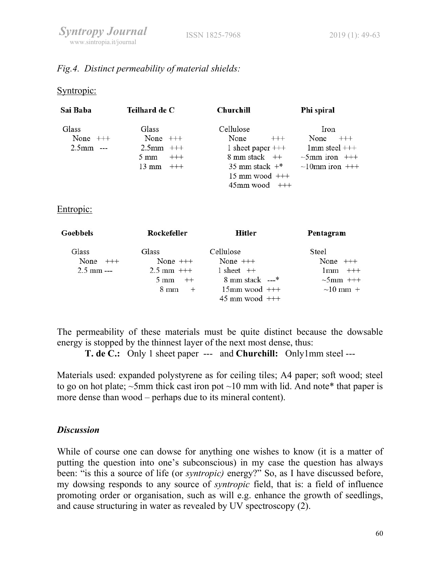## Fig.4. Distinct permeability of material shields:

#### Syntropic:

| Sai Baba          | Teilhard de C              | Churchill          | Phi spiral           |
|-------------------|----------------------------|--------------------|----------------------|
| Glass             | Glass                      | Cellulose          | Iron                 |
| None $++$         | None $++$                  | None               | None<br>$^{+++}$     |
| 2.5 <sub>mm</sub> | $2.5$ mm $++$              | 1 sheet paper $++$ | $1mm$ steel $+++$    |
|                   | $^{+++}$<br>$5 \text{ mm}$ | 8 mm stack ++      | $\sim$ 5mm iron +++  |
|                   | $13 \text{ mm}$<br>$-++$   | 35 mm stack $+$ *  | $\sim$ 10mm iron +++ |
|                   |                            | $15$ mm wood $++$  |                      |
|                   |                            | $45$ mm wood $++$  |                      |

#### Entropic:

| <b>Goebbels</b> | Rockefeller            | Hitler                    | Pentagram        |
|-----------------|------------------------|---------------------------|------------------|
| Glass           | Glass                  | Cellulose                 | Steel            |
| None $++$       | None $++$              | None $++$                 | None<br>$^{+++}$ |
| $2.5$ mm $--$   | $2.5 \text{ mm}$ +++   | 1 sheet $++$              | $+++$<br>l mm    |
|                 | $5 \text{ mm}$<br>$++$ | 8 mm stack ---*           | $\sim$ 5mm +++   |
|                 | $8 \text{ mm}$         | $15$ mm wood $++$         | $\sim$ 10 mm +   |
|                 |                        | $45 \text{ mm}$ wood $++$ |                  |

The permeability of these materials must be quite distinct because the dowsable energy is stopped by the thinnest layer of the next most dense, thus:

T. de C.: Only 1 sheet paper --- and Churchill: Only1mm steel ---

Materials used: expanded polystyrene as for ceiling tiles; A4 paper; soft wood; steel to go on hot plate;  $\sim$ 5mm thick cast iron pot  $\sim$ 10 mm with lid. And note\* that paper is more dense than wood – perhaps due to its mineral content).

## **Discussion**

While of course one can dowse for anything one wishes to know (it is a matter of putting the question into one's subconscious) in my case the question has always been: "is this a source of life (or syntropic) energy?" So, as I have discussed before, my dowsing responds to any source of syntropic field, that is: a field of influence promoting order or organisation, such as will e.g. enhance the growth of seedlings, and cause structuring in water as revealed by UV spectroscopy (2).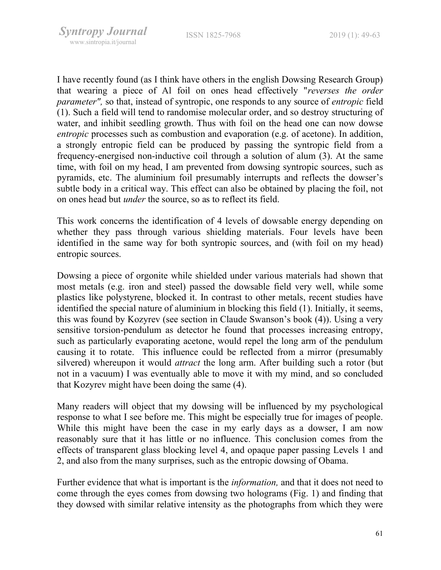I have recently found (as I think have others in the english Dowsing Research Group) that wearing a piece of Al foil on ones head effectively "reverses the order parameter", so that, instead of syntropic, one responds to any source of entropic field (1). Such a field will tend to randomise molecular order, and so destroy structuring of water, and inhibit seedling growth. Thus with foil on the head one can now dowse entropic processes such as combustion and evaporation (e.g. of acetone). In addition, a strongly entropic field can be produced by passing the syntropic field from a frequency-energised non-inductive coil through a solution of alum (3). At the same time, with foil on my head, I am prevented from dowsing syntropic sources, such as pyramids, etc. The aluminium foil presumably interrupts and reflects the dowser's subtle body in a critical way. This effect can also be obtained by placing the foil, not on ones head but under the source, so as to reflect its field.

This work concerns the identification of 4 levels of dowsable energy depending on whether they pass through various shielding materials. Four levels have been identified in the same way for both syntropic sources, and (with foil on my head) entropic sources.

Dowsing a piece of orgonite while shielded under various materials had shown that most metals (e.g. iron and steel) passed the dowsable field very well, while some plastics like polystyrene, blocked it. In contrast to other metals, recent studies have identified the special nature of aluminium in blocking this field (1). Initially, it seems, this was found by Kozyrev (see section in Claude Swanson's book (4)). Using a very sensitive torsion-pendulum as detector he found that processes increasing entropy, such as particularly evaporating acetone, would repel the long arm of the pendulum causing it to rotate. This influence could be reflected from a mirror (presumably silvered) whereupon it would *attract* the long arm. After building such a rotor (but not in a vacuum) I was eventually able to move it with my mind, and so concluded that Kozyrev might have been doing the same (4).

Many readers will object that my dowsing will be influenced by my psychological response to what I see before me. This might be especially true for images of people. While this might have been the case in my early days as a dowser, I am now reasonably sure that it has little or no influence. This conclusion comes from the effects of transparent glass blocking level 4, and opaque paper passing Levels 1 and 2, and also from the many surprises, such as the entropic dowsing of Obama.

Further evidence that what is important is the *information*, and that it does not need to come through the eyes comes from dowsing two holograms (Fig. 1) and finding that they dowsed with similar relative intensity as the photographs from which they were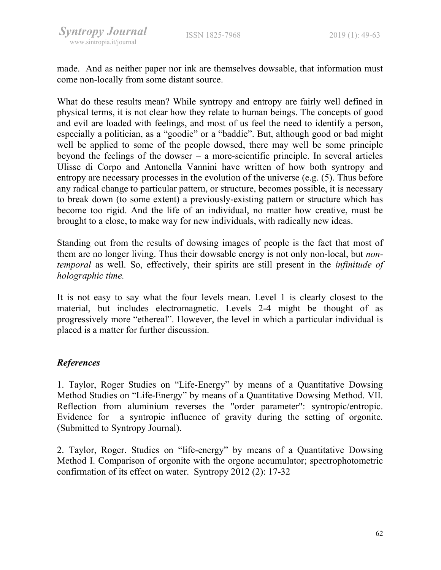made. And as neither paper nor ink are themselves dowsable, that information must come non-locally from some distant source.

What do these results mean? While syntropy and entropy are fairly well defined in physical terms, it is not clear how they relate to human beings. The concepts of good and evil are loaded with feelings, and most of us feel the need to identify a person, especially a politician, as a "goodie" or a "baddie". But, although good or bad might well be applied to some of the people dowsed, there may well be some principle beyond the feelings of the dowser – a more-scientific principle. In several articles Ulisse di Corpo and Antonella Vannini have written of how both syntropy and entropy are necessary processes in the evolution of the universe (e.g. (5). Thus before any radical change to particular pattern, or structure, becomes possible, it is necessary to break down (to some extent) a previously-existing pattern or structure which has become too rigid. And the life of an individual, no matter how creative, must be brought to a close, to make way for new individuals, with radically new ideas.

Standing out from the results of dowsing images of people is the fact that most of them are no longer living. Thus their dowsable energy is not only non-local, but nontemporal as well. So, effectively, their spirits are still present in the infinitude of holographic time.

It is not easy to say what the four levels mean. Level 1 is clearly closest to the material, but includes electromagnetic. Levels 2-4 might be thought of as progressively more "ethereal". However, the level in which a particular individual is placed is a matter for further discussion.

## References

1. Taylor, Roger Studies on "Life-Energy" by means of a Quantitative Dowsing Method Studies on "Life-Energy" by means of a Quantitative Dowsing Method. VII. Reflection from aluminium reverses the "order parameter": syntropic/entropic. Evidence for a syntropic influence of gravity during the setting of orgonite. (Submitted to Syntropy Journal).

2. Taylor, Roger. Studies on "life-energy" by means of a Quantitative Dowsing Method I. Comparison of orgonite with the orgone accumulator; spectrophotometric confirmation of its effect on water. Syntropy 2012 (2): 17-32